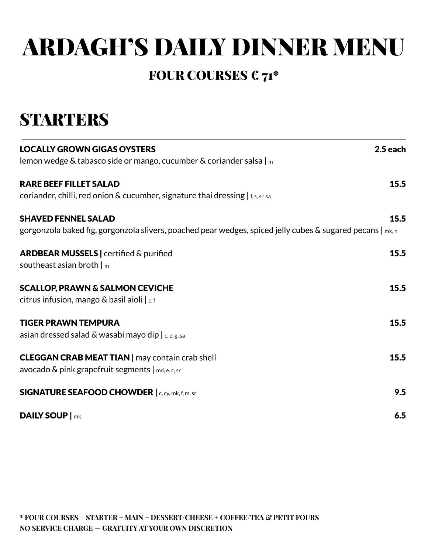# ARDAGH'S DAILY DINNER MENU

#### FOUR COURSES  $\epsilon$  71\*

#### **STARTERS**

| <b>LOCALLY GROWN GIGAS OYSTERS</b>                                                                            | $2.5$ each |
|---------------------------------------------------------------------------------------------------------------|------------|
| lemon wedge & tabasco side or mango, cucumber & coriander salsa $ m $                                         |            |
| <b>RARE BEEF FILLET SALAD</b>                                                                                 | 15.5       |
| coriander, chilli, red onion & cucumber, signature thai dressing $ _{f,s,sr,sa}$                              |            |
| <b>SHAVED FENNEL SALAD</b>                                                                                    | 15.5       |
| gorgonzola baked fig, gorgonzola slivers, poached pear wedges, spiced jelly cubes & sugared pecans $ _{mk,n}$ |            |
| <b>ARDBEAR MUSSELS</b>   certified & purified                                                                 | 15.5       |
| southeast asian broth $ m $                                                                                   |            |
| <b>SCALLOP, PRAWN &amp; SALMON CEVICHE</b>                                                                    | 15.5       |
| citrus infusion, mango & basil aioli   c, f                                                                   |            |
| <b>TIGER PRAWN TEMPURA</b>                                                                                    | 15.5       |
| asian dressed salad & wasabi mayo dip $ c, e, g, sa$                                                          |            |
| <b>CLEGGAN CRAB MEAT TIAN</b>   may contain crab shell                                                        | 15.5       |
| avocado $\&$ pink grapefruit segments $ $ md, e, c, sr                                                        |            |
| <b>SIGNATURE SEAFOOD CHOWDER   c, cy, mk, f, m, sr</b>                                                        | 9.5        |
| <b>DAILY SOUP</b>   mk                                                                                        | 6.5        |